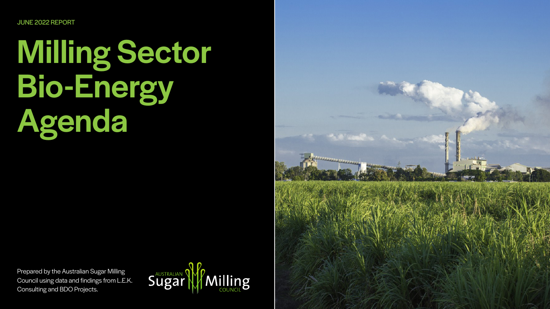JUNE 2022 REPORT

# Milling Sector Bio-Energy Agenda

Prepared by the Australian Sugar Milling Council using data and findings from L.E.K. Consulting and BDO Projects.



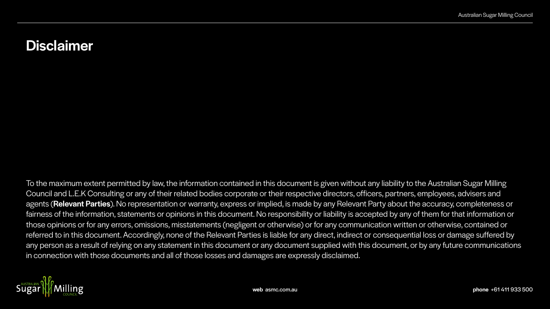To the maximum extent permitted by law, the information contained in this document is given without any liability to the Australian Sugar Milling Council and L.E.K Consulting or any of their related bodies corporate or their respective directors, officers, partners, employees, advisers and agents (Relevant Parties). No representation or warranty, express or implied, is made by any Relevant Party about the accuracy, completeness or fairness of the information, statements or opinions in this document. No responsibility or liability is accepted by any of them for that information or those opinions or for any errors, omissions, misstatements (negligent or otherwise) or for any communication written or otherwise, contained or referred to in this document. Accordingly, none of the Relevant Parties is liable for any direct, indirect or consequential loss or damage suffered by any person as a result of relying on any statement in this document or any document supplied with this document, or by any future communications in connection with those documents and all of those losses and damages are expressly disclaimed.



## Disclaimer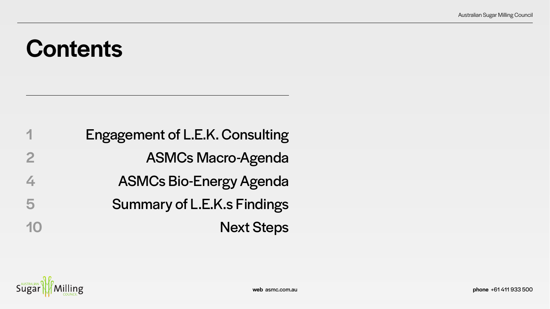# **Contents**

| 1            | Engagement of L.E.K. Consulting    |
|--------------|------------------------------------|
| $\mathbf{2}$ | <b>ASMCs Macro-Agenda</b>          |
| 4            | <b>ASMCs Bio-Energy Agenda</b>     |
| 5            | <b>Summary of L.E.K.s Findings</b> |
| 10           | <b>Next Steps</b>                  |

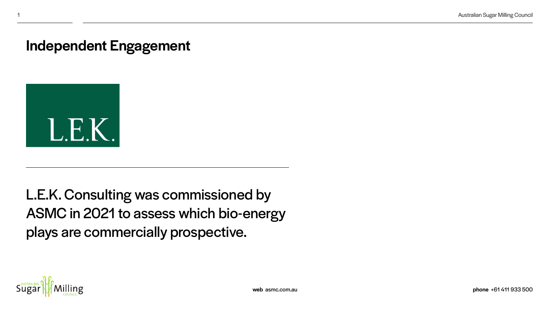L.E.K. Consulting was commissioned by ASMC in 2021 to assess which bio-energy plays are commercially prospective.



## Independent Engagement

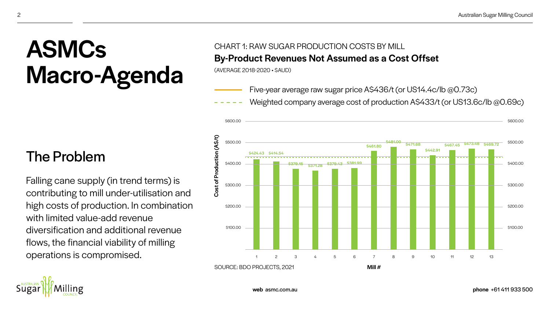

Falling cane supply (in trend terms) is contributing to mill under-utilisation and high costs of production. In combination with limited value-add revenue diversification and additional revenue flows, the financial viability of milling operations is compromised.

# ASMCs Macro-Agenda

## Weighted company average cost of production A\$433/t (or US13.6c/lb @0.69c)

web asmc.com.au phone +61 411 933 500

Five-year average raw sugar price A\$436/t (or US14.4c/lb @0.73c)

### CHART 1: RAW SUGAR PRODUCTION COSTS BY MILL By-Product Revenues Not Assumed as a Cost Offset

(AVERAGE 2018-2020 • \$AUD)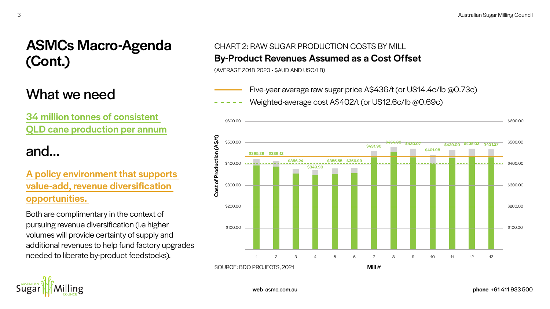

## What we need

34 million tonnes of consistent QLD cane production per annum

## and...

### A policy environment that supports value-add, revenue diversification opportunities.

Both are complimentary in the context of pursuing revenue diversification (i.e higher volumes will provide certainty of supply and additional revenues to help fund factory upgrades needed to liberate by-product feedstocks).

- Five-year average raw sugar price A\$436/t (or US14.4c/lb @0.73c)
- Weighted-average cost A\$402/t (or US12.6c/lb @0.69c)

## ASMCs Macro-Agenda (Cont.)

### CHART 2: RAW SUGAR PRODUCTION COSTS BY MILL By-Product Revenues Assumed as a Cost Offset

(AVERAGE 2018-2020 • \$AUD AND USC/LB)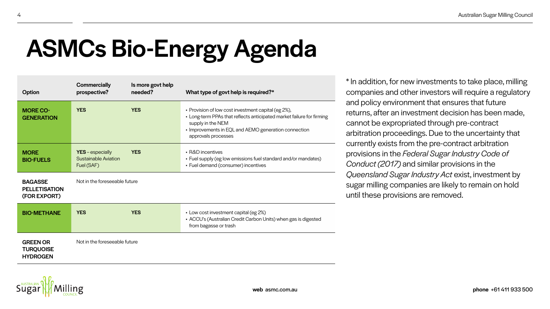addition, for new investments to take place, milling mpanies and other investors will require a regulatory I policy environment that ensures that future urns, after an investment decision has been made, anot be expropriated through pre-contract itration proceedings. Due to the uncertainty that rently exists from the pre-contract arbitration visions in the *Federal Sugar Industry Code of Conduct (2017)* and similar provisions in the eensland Sugar Industry Act exist, investment by gar milling companies are likely to remain on hold il these provisions are removed.

# ASMCs Bio-Energy Agenda

| <b>Option</b>                                          | <b>Commercially</b><br>prospective?                           | Is more govt help<br>needed? | What type of govt help is required?*                                                                                                                                                                                             |  |
|--------------------------------------------------------|---------------------------------------------------------------|------------------------------|----------------------------------------------------------------------------------------------------------------------------------------------------------------------------------------------------------------------------------|--|
| <b>MORE CO-</b><br><b>GENERATION</b>                   | <b>YES</b>                                                    | <b>YES</b>                   | • Provision of low cost investment capital (eg 2%),<br>• Long-term PPAs that reflects anticipated market failure for firming<br>supply in the NEM<br>• Improvements in EQL and AEMO generation connection<br>approvals processes |  |
| <b>MORE</b><br><b>BIO-FUELS</b>                        | YES - especially<br><b>Sustainable Aviation</b><br>Fuel (SAF) | <b>YES</b>                   | - R&D incentives<br>• Fuel supply (eg low emissions fuel standard and/or mandates)<br>• Fuel demand (consumer) incentives                                                                                                        |  |
| <b>BAGASSE</b><br><b>PELLETISATION</b><br>(FOR EXPORT) | Not in the foreseeable future                                 |                              |                                                                                                                                                                                                                                  |  |
| <b>BIO-METHANE</b>                                     | <b>YES</b>                                                    | <b>YES</b>                   | • Low cost investment capital (eg 2%)<br>• ACCU's (Australian Credit Carbon Units) when gas is digested<br>from bagasse or trash                                                                                                 |  |
| <b>GREEN OR</b><br><b>TURQUOISE</b><br><b>HYDROGEN</b> | Not in the foreseeable future                                 |                              |                                                                                                                                                                                                                                  |  |

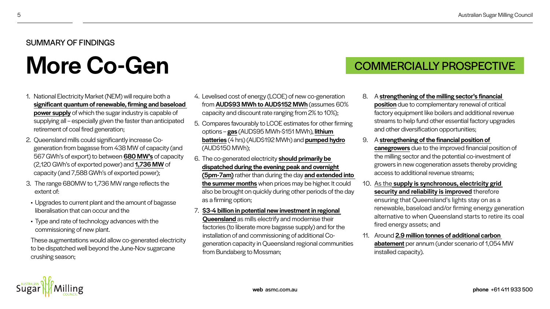- 1. National Electricity Market (NEM) will require both a significant quantum of renewable, firming and baseload power supply of which the sugar industry is capable of supplying all – especially given the faster than anticipated retirement of coal fired generation;
- 2. Queensland mills could significantly increase Cogeneration from bagasse from 438 MW of capacity (and 567 GWh's of export) to between 680 MW's of capacity (2,120 GWh's of exported power) and 1,736 MW of capacity (and 7,588 GWh's of exported power);
- 3. The range 680MW to 1,736 MW range reflects the extent of:
- Upgrades to current plant and the amount of bagasse liberalisation that can occur and the
- Type and rate of technology advances with the commissioning of new plant.

 These augmentations would allow co-generated electricity to be dispatched well beyond the June-Nov sugarcane crushing season;

4. Levelised cost of energy (LCOE) of new co-generation

- -
	-
	-
	-
	-
	-
	-

from AUD\$93 MWh to AUD\$152 MWh (assumes 60% capacity and discount rate ranging from 2% to 10%); 5. Compares favourably to LCOE estimates for other firming options – gas (AUD\$95 MWh-\$151 MWh), lithium batteries (4 hrs) (AUD\$192 MWh) and pumped hydro (AUD\$150 MWh); 6. The co-generated electricity should primarily be dispatched during the evening peak and overnight (5pm-7am) rather than during the day and extended into the summer months when prices may be higher. It could also be brought on quickly during other periods of the day as a firming option;

### 7. \$3-4 billion in potential new investment in regional Queensland as mills electrify and modernise their factories (to liberate more bagasse supply) and for the installation of and commissioning of additional Cogeneration capacity in Queensland regional communities from Bundaberg to Mossman;

### 8. A strengthening of the milling sector's financial

position due to complementary renewal of critical factory equipment like boilers and additional revenue streams to help fund other essential factory upgrades and other diversification opportunities;

### 9. A strengthening of the financial position of

canegrowers due to the improved financial position of the milling sector and the potential co-investment of growers in new cogeneration assets thereby providing access to additional revenue streams;

### 10. As the supply is synchronous, electricity grid security and reliability is improved therefore

ensuring that Queensland's lights stay on as a renewable, baseload and/or firming energy generation alternative to when Queensland starts to retire its coal fired energy assets; and

11. Around 2.9 million tonnes of additional carbon abatement per annum (under scenario of 1,054 MW installed capacity).



### SUMMARY OF FINDINGS

# More Co-Gen COMMERCIALLY PROSPECTIVE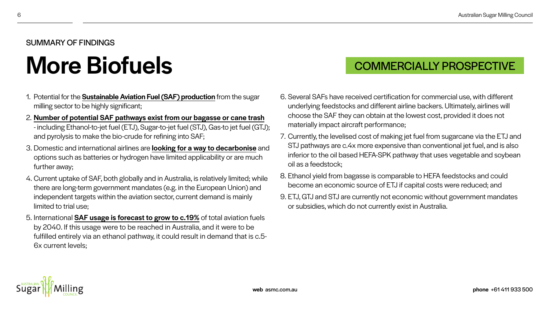- 1. Potential for the Sustainable Aviation Fuel (SAF) production from the sugar milling sector to be highly significant;
- 2. Number of potential SAF pathways exist from our bagasse or cane trash - including Ethanol-to-jet fuel (ETJ), Sugar-to-jet fuel (STJ), Gas-to jet fuel (GTJ); and pyrolysis to make the bio-crude for refining into SAF;
- 3. Domestic and international airlines are **looking for a way to decarbonise** and options such as batteries or hydrogen have limited applicability or are much further away;
- 4. Current uptake of SAF, both globally and in Australia, is relatively limited; while there are long-term government mandates (e.g. in the European Union) and independent targets within the aviation sector, current demand is mainly limited to trial use;
- 5. International **SAF usage is forecast to grow to c.19%** of total aviation fuels by 2040. If this usage were to be reached in Australia, and it were to be fulfilled entirely via an ethanol pathway, it could result in demand that is c.5- 6x current levels;

6. Several SAFs have received certification for commercial use, with different underlying feedstocks and different airline backers. Ultimately, airlines will choose the SAF they can obtain at the lowest cost, provided it does not

7. Currently, the levelised cost of making jet fuel from sugarcane via the ETJ and STJ pathways are c.4x more expensive than conventional jet fuel, and is also inferior to the oil based HEFA-SPK pathway that uses vegetable and soybean

- materially impact aircraft performance;
- oil as a feedstock;
- 
- or subsidies, which do not currently exist in Australia.





8. Ethanol yield from bagasse is comparable to HEFA feedstocks and could become an economic source of ETJ if capital costs were reduced; and

9. ETJ, GTJ and STJ are currently not economic without government mandates

### SUMMARY OF FINDINGS

# More Biofuels **COMMERCIALLY PROSPECTIVE**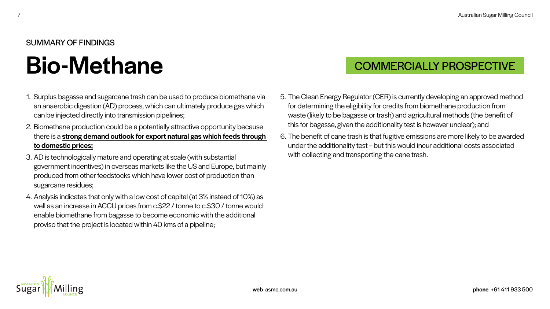- 1. Surplus bagasse and sugarcane trash can be used to produce biomethane via an anaerobic digestion (AD) process, which can ultimately produce gas which can be injected directly into transmission pipelines;
- 2. Biomethane production could be a potentially attractive opportunity because there is a strong demand outlook for export natural gas which feeds through to domestic prices;
- 3. AD is technologically mature and operating at scale (with substantial government incentives) in overseas markets like the US and Europe, but mainly produced from other feedstocks which have lower cost of production than sugarcane residues;
- 4. Analysis indicates that only with a low cost of capital (at 3% instead of 10%) as well as an increase in ACCU prices from c.\$22 / tonne to c.\$30 / tonne would enable biomethane from bagasse to become economic with the additional proviso that the project is located within 40 kms of a pipeline;

5. The Clean Energy Regulator (CER) is currently developing an approved method for determining the eligibility for credits from biomethane production from waste (likely to be bagasse or trash) and agricultural methods (the benefit of this for bagasse, given the additionality test is however unclear); and

6. The benefit of cane trash is that fugitive emissions are more likely to be awarded under the additionality test – but this would incur additional costs associated

- 
- with collecting and transporting the cane trash.



### SUMMARY OF FINDINGS

# Bio-Methane COMMERCIALLY PROSPECTIVE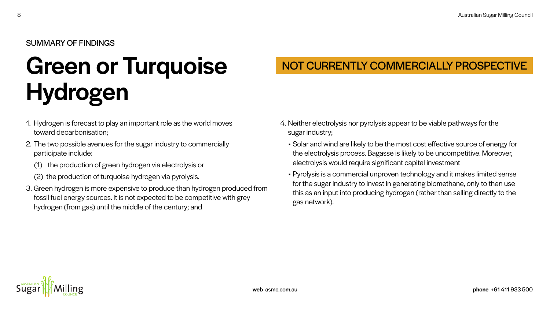- 1. Hydrogen is forecast to play an important role as the world moves toward decarbonisation;
- 2. The two possible avenues for the sugar industry to commercially participate include:
	- (1) the production of green hydrogen via electrolysis or
	- (2) the production of turquoise hydrogen via pyrolysis.
- 3. Green hydrogen is more expensive to produce than hydrogen produced from fossil fuel energy sources. It is not expected to be competitive with grey hydrogen (from gas) until the middle of the century; and

4. Neither electrolysis nor pyrolysis appear to be viable pathways for the

• Solar and wind are likely to be the most cost effective source of energy for the electrolysis process. Bagasse is likely to be uncompetitive. Moreover,

- sugar industry;
	- electrolysis would require significant capital investment
	- gas network).



• Pyrolysis is a commercial unproven technology and it makes limited sense for the sugar industry to invest in generating biomethane, only to then use this as an input into producing hydrogen (rather than selling directly to the

web asmc.com.au phone +61 411 933 500

# Green or Turquoise Hydrogen

## NOT CURRENTLY COMMERCIALLY PROSPECTIVE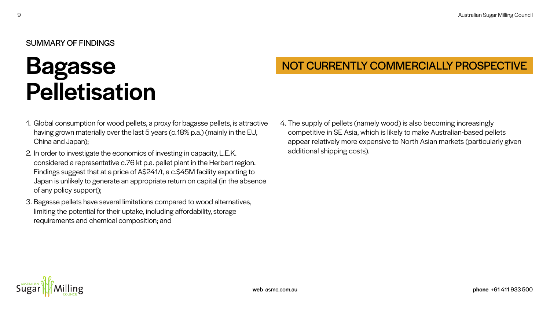- 1. Global consumption for wood pellets, a proxy for bagasse pellets, is attractive having grown materially over the last 5 years (c.18% p.a.) (mainly in the EU, China and Japan);
- 2. In order to investigate the economics of investing in capacity, L.E.K. considered a representative c.76 kt p.a. pellet plant in the Herbert region. Findings suggest that at a price of A\$241/t, a c.\$45M facility exporting to Japan is unlikely to generate an appropriate return on capital (in the absence of any policy support);
- 3. Bagasse pellets have several limitations compared to wood alternatives, limiting the potential for their uptake, including affordability, storage requirements and chemical composition; and

4. The supply of pellets (namely wood) is also becoming increasingly competitive in SE Asia, which is likely to make Australian-based pellets appear relatively more expensive to North Asian markets (particularly given

web asmc.com.au phone +61 411 933 500

additional shipping costs).





### SUMMARY OF FINDINGS

## Bagasse Pelletisation

## NOT CURRENTLY COMMERCIALLY PROSPECTIVE